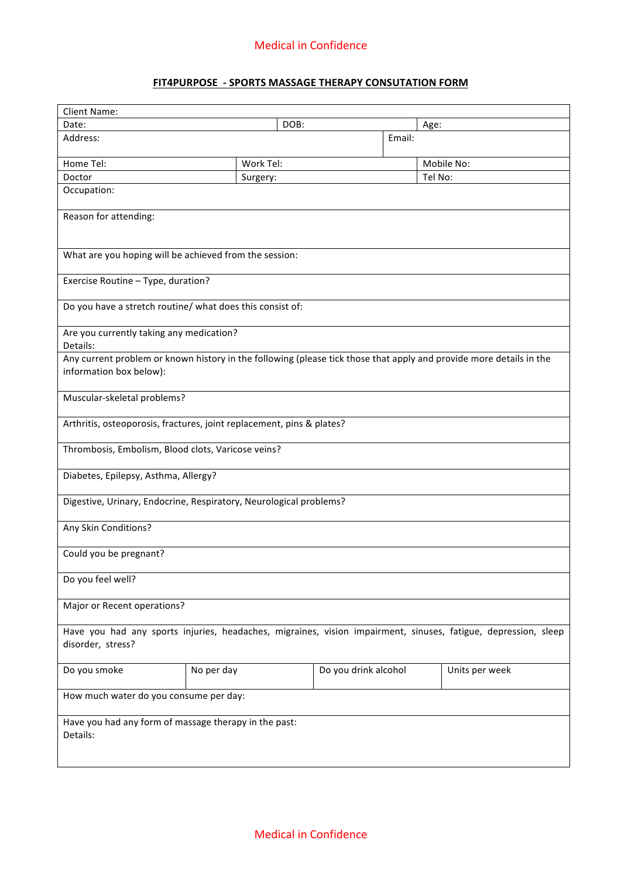## **FIT4PURPOSE - SPORTS MASSAGE THERAPY CONSUTATION FORM**

| Client Name:                                                                                                        |            |                      |                |  |  |  |  |  |  |  |
|---------------------------------------------------------------------------------------------------------------------|------------|----------------------|----------------|--|--|--|--|--|--|--|
| Date:                                                                                                               |            | DOB:                 | Age:           |  |  |  |  |  |  |  |
| Address:                                                                                                            |            |                      | Email:         |  |  |  |  |  |  |  |
| Home Tel:                                                                                                           | Work Tel:  |                      | Mobile No:     |  |  |  |  |  |  |  |
| Doctor                                                                                                              | Surgery:   |                      | Tel No:        |  |  |  |  |  |  |  |
| Occupation:                                                                                                         |            |                      |                |  |  |  |  |  |  |  |
|                                                                                                                     |            |                      |                |  |  |  |  |  |  |  |
| Reason for attending:                                                                                               |            |                      |                |  |  |  |  |  |  |  |
|                                                                                                                     |            |                      |                |  |  |  |  |  |  |  |
| What are you hoping will be achieved from the session:                                                              |            |                      |                |  |  |  |  |  |  |  |
| Exercise Routine - Type, duration?                                                                                  |            |                      |                |  |  |  |  |  |  |  |
| Do you have a stretch routine/ what does this consist of:                                                           |            |                      |                |  |  |  |  |  |  |  |
| Are you currently taking any medication?<br>Details:                                                                |            |                      |                |  |  |  |  |  |  |  |
| Any current problem or known history in the following (please tick those that apply and provide more details in the |            |                      |                |  |  |  |  |  |  |  |
| information box below):                                                                                             |            |                      |                |  |  |  |  |  |  |  |
| Muscular-skeletal problems?                                                                                         |            |                      |                |  |  |  |  |  |  |  |
| Arthritis, osteoporosis, fractures, joint replacement, pins & plates?                                               |            |                      |                |  |  |  |  |  |  |  |
| Thrombosis, Embolism, Blood clots, Varicose veins?                                                                  |            |                      |                |  |  |  |  |  |  |  |
| Diabetes, Epilepsy, Asthma, Allergy?                                                                                |            |                      |                |  |  |  |  |  |  |  |
| Digestive, Urinary, Endocrine, Respiratory, Neurological problems?                                                  |            |                      |                |  |  |  |  |  |  |  |
| Any Skin Conditions?                                                                                                |            |                      |                |  |  |  |  |  |  |  |
| Could you be pregnant?                                                                                              |            |                      |                |  |  |  |  |  |  |  |
| Do you feel well?                                                                                                   |            |                      |                |  |  |  |  |  |  |  |
| Major or Recent operations?                                                                                         |            |                      |                |  |  |  |  |  |  |  |
| Have you had any sports injuries, headaches, migraines, vision impairment, sinuses, fatigue, depression, sleep      |            |                      |                |  |  |  |  |  |  |  |
| disorder, stress?                                                                                                   |            |                      |                |  |  |  |  |  |  |  |
| Do you smoke                                                                                                        | No per day | Do you drink alcohol | Units per week |  |  |  |  |  |  |  |
| How much water do you consume per day:                                                                              |            |                      |                |  |  |  |  |  |  |  |
| Have you had any form of massage therapy in the past:<br>Details:                                                   |            |                      |                |  |  |  |  |  |  |  |
|                                                                                                                     |            |                      |                |  |  |  |  |  |  |  |
|                                                                                                                     |            |                      |                |  |  |  |  |  |  |  |